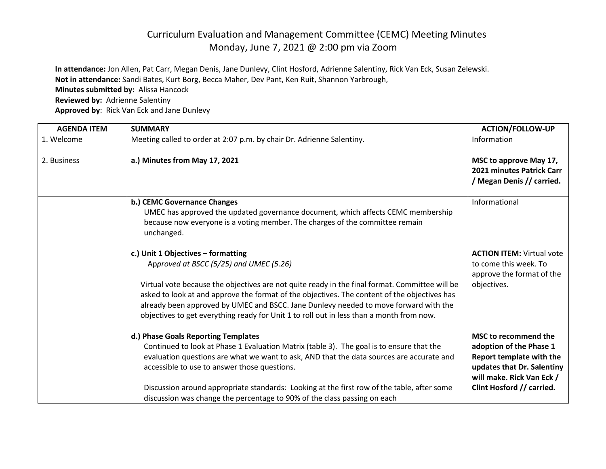## Curriculum Evaluation and Management Committee (CEMC) Meeting Minutes Monday, June 7, 2021 @ 2:00 pm via Zoom

**In attendance:** Jon Allen, Pat Carr, Megan Denis, Jane Dunlevy, Clint Hosford, Adrienne Salentiny, Rick Van Eck, Susan Zelewski. **Not in attendance:** Sandi Bates, Kurt Borg, Becca Maher, Dev Pant, Ken Ruit, Shannon Yarbrough,

**Minutes submitted by:** Alissa Hancock

**Reviewed by:** Adrienne Salentiny

**Approved by**: Rick Van Eck and Jane Dunlevy

| <b>AGENDA ITEM</b> | <b>SUMMARY</b>                                                                                                                                                                                                                                                                                                                                                                                                                                                      | <b>ACTION/FOLLOW-UP</b>                                                                                                                                                    |
|--------------------|---------------------------------------------------------------------------------------------------------------------------------------------------------------------------------------------------------------------------------------------------------------------------------------------------------------------------------------------------------------------------------------------------------------------------------------------------------------------|----------------------------------------------------------------------------------------------------------------------------------------------------------------------------|
| 1. Welcome         | Meeting called to order at 2:07 p.m. by chair Dr. Adrienne Salentiny.                                                                                                                                                                                                                                                                                                                                                                                               | Information                                                                                                                                                                |
| 2. Business        | a.) Minutes from May 17, 2021                                                                                                                                                                                                                                                                                                                                                                                                                                       | MSC to approve May 17,<br>2021 minutes Patrick Carr<br>/ Megan Denis // carried.                                                                                           |
|                    | b.) CEMC Governance Changes<br>UMEC has approved the updated governance document, which affects CEMC membership<br>because now everyone is a voting member. The charges of the committee remain<br>unchanged.                                                                                                                                                                                                                                                       | Informational                                                                                                                                                              |
|                    | c.) Unit 1 Objectives - formatting<br>Approved at BSCC (5/25) and UMEC (5.26)<br>Virtual vote because the objectives are not quite ready in the final format. Committee will be<br>asked to look at and approve the format of the objectives. The content of the objectives has<br>already been approved by UMEC and BSCC. Jane Dunlevy needed to move forward with the<br>objectives to get everything ready for Unit 1 to roll out in less than a month from now. | <b>ACTION ITEM: Virtual vote</b><br>to come this week. To<br>approve the format of the<br>objectives.                                                                      |
|                    | d.) Phase Goals Reporting Templates<br>Continued to look at Phase 1 Evaluation Matrix (table 3). The goal is to ensure that the<br>evaluation questions are what we want to ask, AND that the data sources are accurate and<br>accessible to use to answer those questions.<br>Discussion around appropriate standards: Looking at the first row of the table, after some<br>discussion was change the percentage to 90% of the class passing on each               | <b>MSC to recommend the</b><br>adoption of the Phase 1<br>Report template with the<br>updates that Dr. Salentiny<br>will make. Rick Van Eck /<br>Clint Hosford // carried. |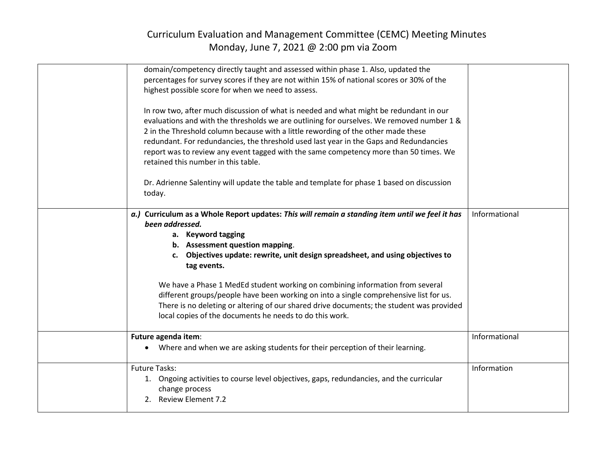## Curriculum Evaluation and Management Committee (CEMC) Meeting Minutes Monday, June 7, 2021 @ 2:00 pm via Zoom

| domain/competency directly taught and assessed within phase 1. Also, updated the<br>percentages for survey scores if they are not within 15% of national scores or 30% of the<br>highest possible score for when we need to assess.<br>In row two, after much discussion of what is needed and what might be redundant in our<br>evaluations and with the thresholds we are outlining for ourselves. We removed number 1 &<br>2 in the Threshold column because with a little rewording of the other made these<br>redundant. For redundancies, the threshold used last year in the Gaps and Redundancies<br>report was to review any event tagged with the same competency more than 50 times. We<br>retained this number in this table.<br>Dr. Adrienne Salentiny will update the table and template for phase 1 based on discussion |               |
|----------------------------------------------------------------------------------------------------------------------------------------------------------------------------------------------------------------------------------------------------------------------------------------------------------------------------------------------------------------------------------------------------------------------------------------------------------------------------------------------------------------------------------------------------------------------------------------------------------------------------------------------------------------------------------------------------------------------------------------------------------------------------------------------------------------------------------------|---------------|
| today.<br>a.) Curriculum as a Whole Report updates: This will remain a standing item until we feel it has                                                                                                                                                                                                                                                                                                                                                                                                                                                                                                                                                                                                                                                                                                                              | Informational |
| been addressed.<br>a. Keyword tagging<br>b. Assessment question mapping.<br>c. Objectives update: rewrite, unit design spreadsheet, and using objectives to<br>tag events.<br>We have a Phase 1 MedEd student working on combining information from several                                                                                                                                                                                                                                                                                                                                                                                                                                                                                                                                                                            |               |
| different groups/people have been working on into a single comprehensive list for us.<br>There is no deleting or altering of our shared drive documents; the student was provided<br>local copies of the documents he needs to do this work.                                                                                                                                                                                                                                                                                                                                                                                                                                                                                                                                                                                           |               |
| Future agenda item:<br>Where and when we are asking students for their perception of their learning.                                                                                                                                                                                                                                                                                                                                                                                                                                                                                                                                                                                                                                                                                                                                   | Informational |
| <b>Future Tasks:</b><br>1. Ongoing activities to course level objectives, gaps, redundancies, and the curricular<br>change process<br>2. Review Element 7.2                                                                                                                                                                                                                                                                                                                                                                                                                                                                                                                                                                                                                                                                            | Information   |